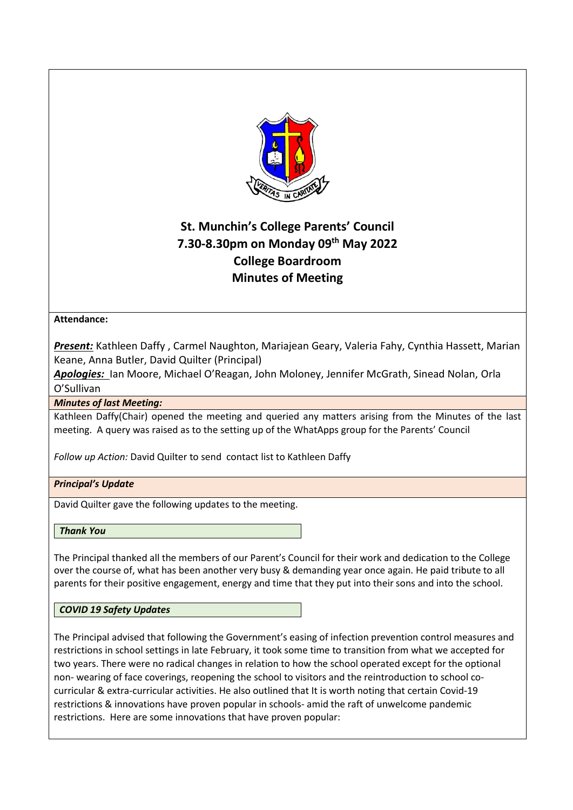

# **St. Munchin's College Parents' Council 7.30-8.30pm on Monday 09th May 2022 College Boardroom Minutes of Meeting**

# **Attendance:**

*Present:* Kathleen Daffy , Carmel Naughton, Mariajean Geary, Valeria Fahy, Cynthia Hassett, Marian Keane, Anna Butler, David Quilter (Principal)

*Apologies:* Ian Moore, Michael O'Reagan, John Moloney, Jennifer McGrath, Sinead Nolan, Orla O'Sullivan

*Minutes of last Meeting:*

Kathleen Daffy(Chair) opened the meeting and queried any matters arising from the Minutes of the last meeting. A query was raised as to the setting up of the WhatApps group for the Parents' Council

*Follow up Action:* David Quilter to send contact list to Kathleen Daffy

# *Principal's Update*

David Quilter gave the following updates to the meeting.

*Thank You*

The Principal thanked all the members of our Parent's Council for their work and dedication to the College over the course of, what has been another very busy & demanding year once again. He paid tribute to all parents for their positive engagement, energy and time that they put into their sons and into the school.

# *COVID 19 Safety Updates*

The Principal advised that following the Government's easing of infection prevention control measures and restrictions in school settings in late February, it took some time to transition from what we accepted for two years. There were no radical changes in relation to how the school operated except for the optional non- wearing of face coverings, reopening the school to visitors and the reintroduction to school cocurricular & extra-curricular activities. He also outlined that It is worth noting that certain Covid-19 restrictions & innovations have proven popular in schools- amid the raft of unwelcome pandemic restrictions. Here are some innovations that have proven popular: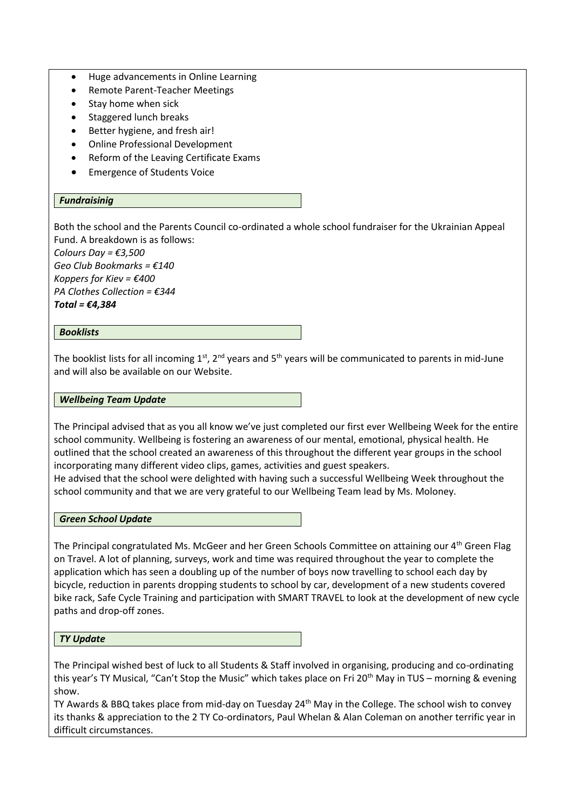- Huge advancements in Online Learning
- Remote Parent-Teacher Meetings
- Stay home when sick
- Staggered lunch breaks
- Better hygiene, and fresh air!
- Online Professional Development
- Reform of the Leaving Certificate Exams
- Emergence of Students Voice

## *Fundraisinig*

Both the school and the Parents Council co-ordinated a whole school fundraiser for the Ukrainian Appeal Fund. A breakdown is as follows:

*Colours Day = €3,500 Geo Club Bookmarks = €140 Koppers for Kiev = €400 PA Clothes Collection = €344 Total = €4,384*

## *Booklists*

The booklist lists for all incoming  $1^{st}$ ,  $2^{nd}$  years and  $5^{th}$  years will be communicated to parents in mid-June and will also be available on our Website.

#### *Wellbeing Team Update*

The Principal advised that as you all know we've just completed our first ever Wellbeing Week for the entire school community. Wellbeing is fostering an awareness of our mental, emotional, physical health. He outlined that the school created an awareness of this throughout the different year groups in the school incorporating many different video clips, games, activities and guest speakers.

He advised that the school were delighted with having such a successful Wellbeing Week throughout the school community and that we are very grateful to our Wellbeing Team lead by Ms. Moloney.

#### *Green School Update*

The Principal congratulated Ms. McGeer and her Green Schools Committee on attaining our 4<sup>th</sup> Green Flag on Travel. A lot of planning, surveys, work and time was required throughout the year to complete the application which has seen a doubling up of the number of boys now travelling to school each day by bicycle, reduction in parents dropping students to school by car, development of a new students covered bike rack, Safe Cycle Training and participation with SMART TRAVEL to look at the development of new cycle paths and drop-off zones.

*TY Update*

The Principal wished best of luck to all Students & Staff involved in organising, producing and co-ordinating this year's TY Musical, "Can't Stop the Music" which takes place on Fri 20<sup>th</sup> May in TUS – morning & evening show.

TY Awards & BBQ takes place from mid-day on Tuesday 24<sup>th</sup> May in the College. The school wish to convey its thanks & appreciation to the 2 TY Co-ordinators, Paul Whelan & Alan Coleman on another terrific year in difficult circumstances.